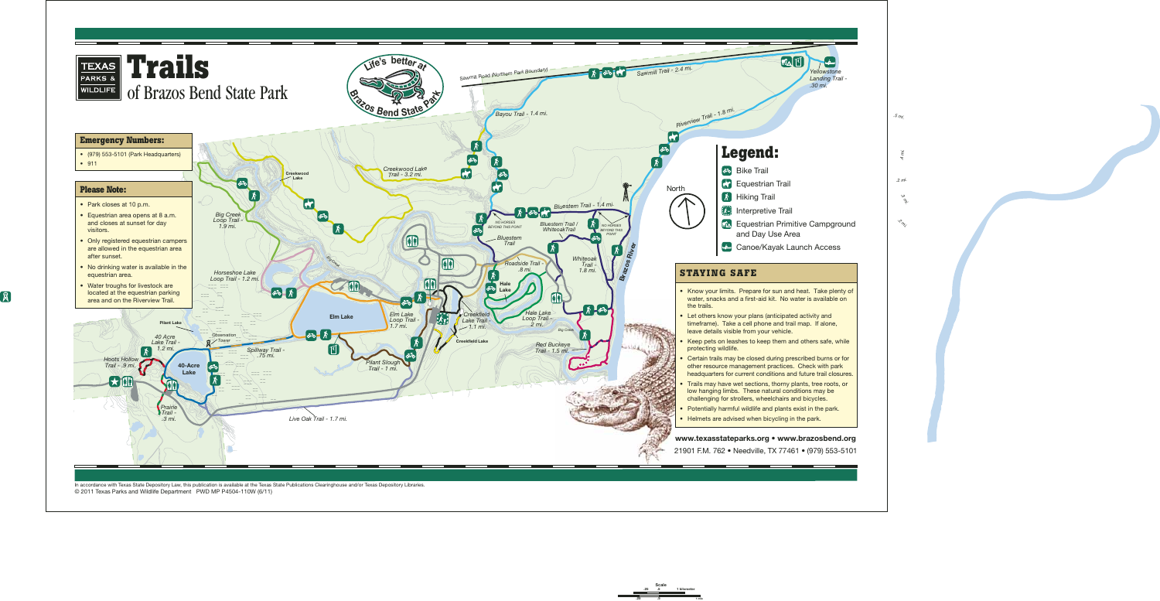

In accordance with Texas State Depository Law, this publication is available at the Texas State Publications Clearinghouse and/or Texas Depository Libraries. © 2011 Texas Parks and Wildlife Department PWD MP P4504-110W (6/11)